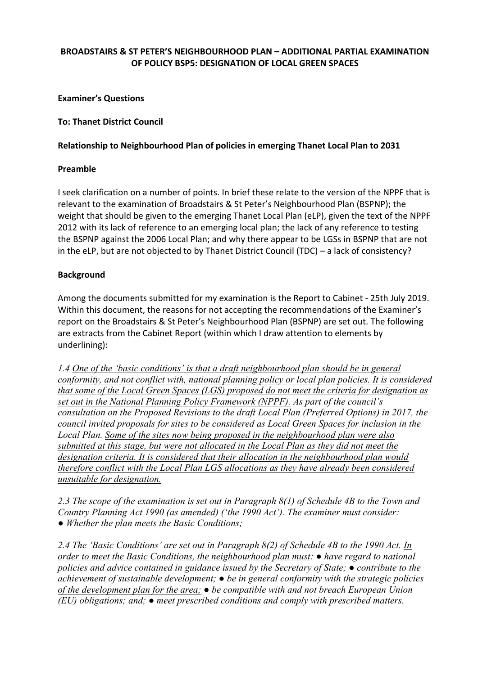# **BROADSTAIRS & ST PETER'S NEIGHBOURHOOD PLAN – ADDITIONAL PARTIAL EXAMINATION OF POLICY BSP5: DESIGNATION OF LOCAL GREEN SPACES**

# **Examiner's Questions**

#### **To: Thanet District Council**

# **Relationship to Neighbourhood Plan of policies in emerging Thanet Local Plan to 2031**

#### **Preamble**

I seek clarification on a number of points. In brief these relate to the version of the NPPF that is relevant to the examination of Broadstairs & St Peter's Neighbourhood Plan (BSPNP); the weight that should be given to the emerging Thanet Local Plan (eLP), given the text of the NPPF 2012 with its lack of reference to an emerging local plan; the lack of any reference to testing the BSPNP against the 2006 Local Plan; and why there appear to be LGSs in BSPNP that are not in the eLP, but are not objected to by Thanet District Council (TDC) – a lack of consistency?

### **Background**

Among the documents submitted for my examination is the Report to Cabinet ‐ 25th July 2019. Within this document, the reasons for not accepting the recommendations of the Examiner's report on the Broadstairs & St Peter's Neighbourhood Plan (BSPNP) are set out. The following are extracts from the Cabinet Report (within which I draw attention to elements by underlining):

*1.4 One of the 'basic conditions' is that a draft neighbourhood plan should be in general conformity, and not conflict with, national planning policy or local plan policies. It is considered that some of the Local Green Spaces (LGS) proposed do not meet the criteria for designation as set out in the National Planning Policy Framework (NPPF). As part of the council's consultation on the Proposed Revisions to the draft Local Plan (Preferred Options) in 2017, the council invited proposals for sites to be considered as Local Green Spaces for inclusion in the Local Plan. Some of the sites now being proposed in the neighbourhood plan were also submitted at this stage, but were not allocated in the Local Plan as they did not meet the designation criteria. It is considered that their allocation in the neighbourhood plan would therefore conflict with the Local Plan LGS allocations as they have already been considered unsuitable for designation.* 

*2.3 The scope of the examination is set out in Paragraph 8(1) of Schedule 4B to the Town and Country Planning Act 1990 (as amended) ('the 1990 Act'). The examiner must consider: ● Whether the plan meets the Basic Conditions;* 

*2.4 The 'Basic Conditions' are set out in Paragraph 8(2) of Schedule 4B to the 1990 Act. In order to meet the Basic Conditions, the neighbourhood plan must: ● have regard to national policies and advice contained in guidance issued by the Secretary of State; ● contribute to the achievement of sustainable development; ● be in general conformity with the strategic policies of the development plan for the area; ● be compatible with and not breach European Union (EU) obligations; and; ● meet prescribed conditions and comply with prescribed matters.*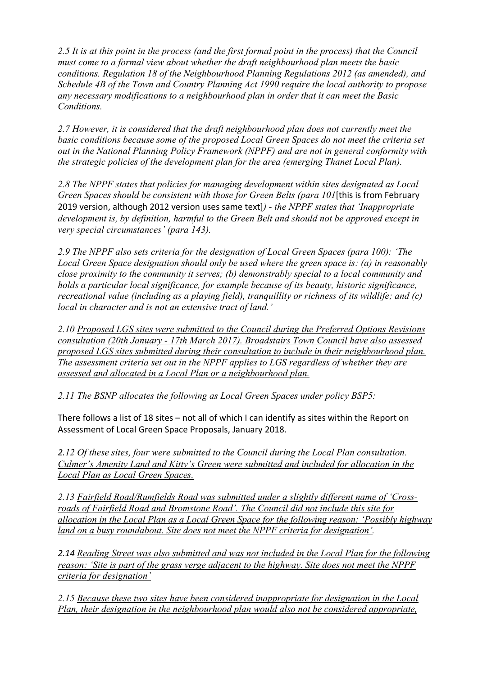*2.5 It is at this point in the process (and the first formal point in the process) that the Council must come to a formal view about whether the draft neighbourhood plan meets the basic conditions. Regulation 18 of the Neighbourhood Planning Regulations 2012 (as amended), and Schedule 4B of the Town and Country Planning Act 1990 require the local authority to propose any necessary modifications to a neighbourhood plan in order that it can meet the Basic Conditions.* 

*2.7 However, it is considered that the draft neighbourhood plan does not currently meet the basic conditions because some of the proposed Local Green Spaces do not meet the criteria set out in the National Planning Policy Framework (NPPF) and are not in general conformity with the strategic policies of the development plan for the area (emerging Thanet Local Plan).* 

*2.8 The NPPF states that policies for managing development within sites designated as Local Green Spaces should be consistent with those for Green Belts (para 101*[this is from February 2019 version, although 2012 version uses same text]*) - the NPPF states that 'Inappropriate development is, by definition, harmful to the Green Belt and should not be approved except in very special circumstances' (para 143).* 

*2.9 The NPPF also sets criteria for the designation of Local Green Spaces (para 100): 'The Local Green Space designation should only be used where the green space is: (a) in reasonably close proximity to the community it serves; (b) demonstrably special to a local community and holds a particular local significance, for example because of its beauty, historic significance, recreational value (including as a playing field), tranquillity or richness of its wildlife; and (c) local in character and is not an extensive tract of land.'* 

*2.10 Proposed LGS sites were submitted to the Council during the Preferred Options Revisions consultation (20th January - 17th March 2017). Broadstairs Town Council have also assessed proposed LGS sites submitted during their consultation to include in their neighbourhood plan. The assessment criteria set out in the NPPF applies to LGS regardless of whether they are assessed and allocated in a Local Plan or a neighbourhood plan.* 

*2.11 The BSNP allocates the following as Local Green Spaces under policy BSP5:* 

There follows a list of 18 sites – not all of which I can identify as sites within the Report on Assessment of Local Green Space Proposals, January 2018.

*2.12 Of these sites, four were submitted to the Council during the Local Plan consultation. Culmer's Amenity Land and Kitty's Green were submitted and included for allocation in the Local Plan as Local Green Spaces.* 

*2.13 Fairfield Road/Rumfields Road was submitted under a slightly different name of 'Crossroads of Fairfield Road and Bromstone Road'. The Council did not include this site for allocation in the Local Plan as a Local Green Space for the following reason: 'Possibly highway land on a busy roundabout. Site does not meet the NPPF criteria for designation'.* 

*2.14 Reading Street was also submitted and was not included in the Local Plan for the following reason: 'Site is part of the grass verge adjacent to the highway. Site does not meet the NPPF criteria for designation'* 

*2.15 Because these two sites have been considered inappropriate for designation in the Local Plan, their designation in the neighbourhood plan would also not be considered appropriate,*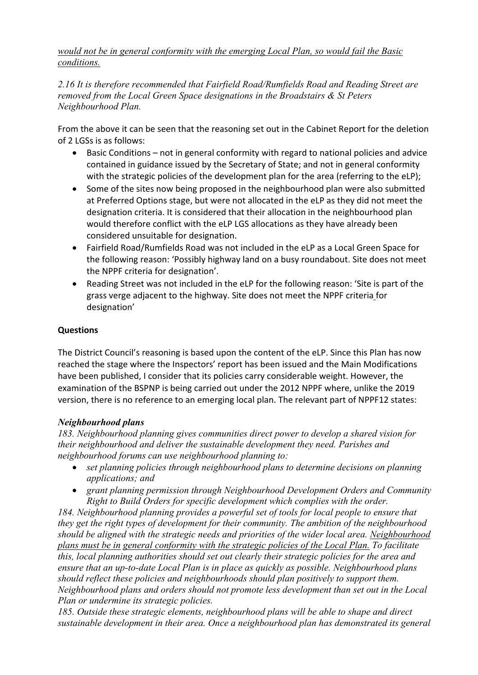*would not be in general conformity with the emerging Local Plan, so would fail the Basic conditions.* 

*2.16 It is therefore recommended that Fairfield Road/Rumfields Road and Reading Street are removed from the Local Green Space designations in the Broadstairs & St Peters Neighbourhood Plan.* 

From the above it can be seen that the reasoning set out in the Cabinet Report for the deletion of 2 LGSs is as follows:

- Basic Conditions not in general conformity with regard to national policies and advice contained in guidance issued by the Secretary of State; and not in general conformity with the strategic policies of the development plan for the area (referring to the eLP);
- Some of the sites now being proposed in the neighbourhood plan were also submitted at Preferred Options stage, but were not allocated in the eLP as they did not meet the designation criteria. It is considered that their allocation in the neighbourhood plan would therefore conflict with the eLP LGS allocations as they have already been considered unsuitable for designation.
- Fairfield Road/Rumfields Road was not included in the eLP as a Local Green Space for the following reason: 'Possibly highway land on a busy roundabout. Site does not meet the NPPF criteria for designation'.
- Reading Street was not included in the eLP for the following reason: 'Site is part of the grass verge adjacent to the highway. Site does not meet the NPPF criteria for designation'

# **Questions**

The District Council's reasoning is based upon the content of the eLP. Since this Plan has now reached the stage where the Inspectors' report has been issued and the Main Modifications have been published, I consider that its policies carry considerable weight. However, the examination of the BSPNP is being carried out under the 2012 NPPF where, unlike the 2019 version, there is no reference to an emerging local plan. The relevant part of NPPF12 states:

# *Neighbourhood plans*

*183. Neighbourhood planning gives communities direct power to develop a shared vision for their neighbourhood and deliver the sustainable development they need. Parishes and neighbourhood forums can use neighbourhood planning to:* 

- *set planning policies through neighbourhood plans to determine decisions on planning applications; and*
- *grant planning permission through Neighbourhood Development Orders and Community Right to Build Orders for specific development which complies with the order.*

*184. Neighbourhood planning provides a powerful set of tools for local people to ensure that they get the right types of development for their community. The ambition of the neighbourhood should be aligned with the strategic needs and priorities of the wider local area. Neighbourhood plans must be in general conformity with the strategic policies of the Local Plan. To facilitate this, local planning authorities should set out clearly their strategic policies for the area and ensure that an up-to-date Local Plan is in place as quickly as possible. Neighbourhood plans should reflect these policies and neighbourhoods should plan positively to support them. Neighbourhood plans and orders should not promote less development than set out in the Local Plan or undermine its strategic policies.* 

*185. Outside these strategic elements, neighbourhood plans will be able to shape and direct sustainable development in their area. Once a neighbourhood plan has demonstrated its general*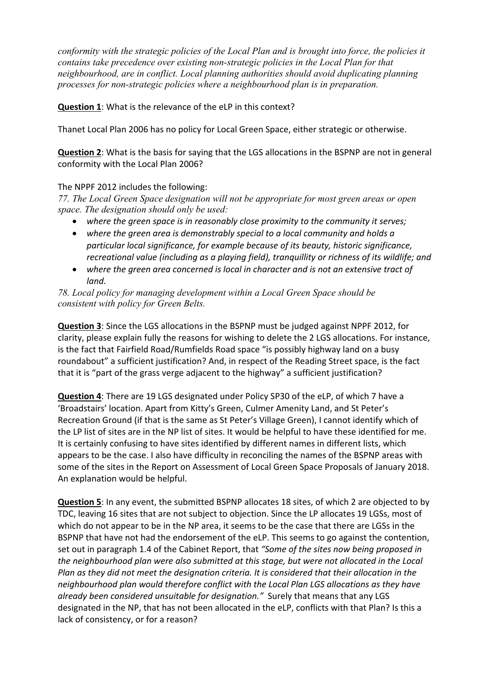*conformity with the strategic policies of the Local Plan and is brought into force, the policies it contains take precedence over existing non-strategic policies in the Local Plan for that neighbourhood, are in conflict. Local planning authorities should avoid duplicating planning processes for non-strategic policies where a neighbourhood plan is in preparation.* 

**Question 1**: What is the relevance of the eLP in this context?

Thanet Local Plan 2006 has no policy for Local Green Space, either strategic or otherwise.

**Question 2**: What is the basis for saying that the LGS allocations in the BSPNP are not in general conformity with the Local Plan 2006?

# The NPPF 2012 includes the following:

*77. The Local Green Space designation will not be appropriate for most green areas or open space. The designation should only be used:* 

- *where the green space is in reasonably close proximity to the community it serves;*
- *where the green area is demonstrably special to a local community and holds a particular local significance, for example because of its beauty, historic significance, recreational value (including as a playing field), tranquillity or richness of its wildlife; and*
- *where the green area concerned is local in character and is not an extensive tract of land.*

*78. Local policy for managing development within a Local Green Space should be consistent with policy for Green Belts.* 

**Question 3**: Since the LGS allocations in the BSPNP must be judged against NPPF 2012, for clarity, please explain fully the reasons for wishing to delete the 2 LGS allocations. For instance, is the fact that Fairfield Road/Rumfields Road space "is possibly highway land on a busy roundabout" a sufficient justification? And, in respect of the Reading Street space, is the fact that it is "part of the grass verge adjacent to the highway" a sufficient justification?

**Question 4**: There are 19 LGS designated under Policy SP30 of the eLP, of which 7 have a 'Broadstairs' location. Apart from Kitty's Green, Culmer Amenity Land, and St Peter's Recreation Ground (if that is the same as St Peter's Village Green), I cannot identify which of the LP list of sites are in the NP list of sites. It would be helpful to have these identified for me. It is certainly confusing to have sites identified by different names in different lists, which appears to be the case. I also have difficulty in reconciling the names of the BSPNP areas with some of the sites in the Report on Assessment of Local Green Space Proposals of January 2018. An explanation would be helpful.

**Question 5**: In any event, the submitted BSPNP allocates 18 sites, of which 2 are objected to by TDC, leaving 16 sites that are not subject to objection. Since the LP allocates 19 LGSs, most of which do not appear to be in the NP area, it seems to be the case that there are LGSs in the BSPNP that have not had the endorsement of the eLP. This seems to go against the contention, set out in paragraph 1.4 of the Cabinet Report, that *"Some of the sites now being proposed in the neighbourhood plan were also submitted at this stage, but were not allocated in the Local Plan as they did not meet the designation criteria. It is considered that their allocation in the neighbourhood plan would therefore conflict with the Local Plan LGS allocations as they have already been considered unsuitable for designation."* Surely that means that any LGS designated in the NP, that has not been allocated in the eLP, conflicts with that Plan? Is this a lack of consistency, or for a reason?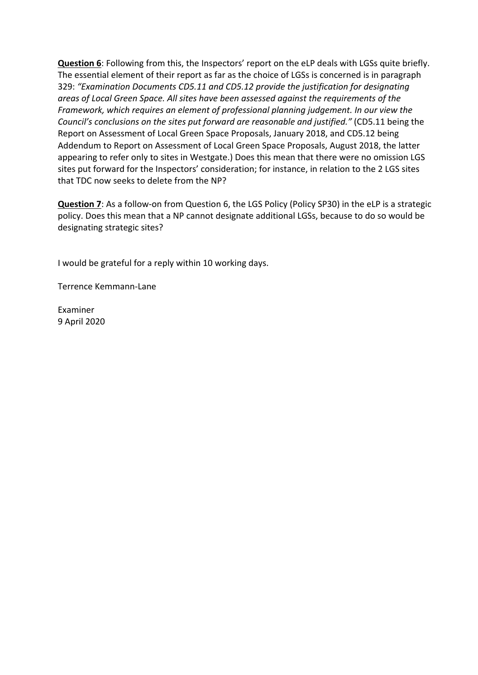**Question 6**: Following from this, the Inspectors' report on the eLP deals with LGSs quite briefly. The essential element of their report as far as the choice of LGSs is concerned is in paragraph 329: *"Examination Documents CD5.11 and CD5.12 provide the justification for designating areas of Local Green Space. All sites have been assessed against the requirements of the Framework, which requires an element of professional planning judgement. In our view the Council's conclusions on the sites put forward are reasonable and justified."* (CD5.11 being the Report on Assessment of Local Green Space Proposals, January 2018, and CD5.12 being Addendum to Report on Assessment of Local Green Space Proposals, August 2018, the latter appearing to refer only to sites in Westgate.) Does this mean that there were no omission LGS sites put forward for the Inspectors' consideration; for instance, in relation to the 2 LGS sites that TDC now seeks to delete from the NP?

**Question 7**: As a follow-on from Question 6, the LGS Policy (Policy SP30) in the eLP is a strategic policy. Does this mean that a NP cannot designate additional LGSs, because to do so would be designating strategic sites?

I would be grateful for a reply within 10 working days.

Terrence Kemmann‐Lane

Examiner 9 April 2020